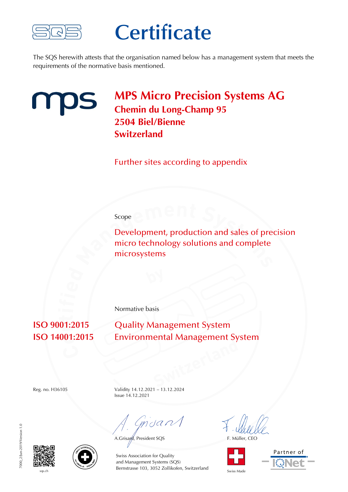

## **Certificate**

The SQS herewith attests that the organisation named below has a management system that meets the requirements of the normative basis mentioned.



### **MPS Micro Precision Systems AG Chemin du Long-Champ 95 2504 Biel/Bienne Switzerland**

Further sites according to appendix

#### Scope

Development, production and sales of precision micro technology solutions and complete microsystems

Normative basis

**ISO 9001:2015** Quality Management System **ISO 14001:2015** Environmental Management System

Reg. no. H36105 Validity 14.12.2021 – 13.12.2024 Issue 14.12.2021

mdan

A.Grisard, President SQS F. Müller, CEO









sqs.ch State State State Swiss Made Bernstrasse 103, 3052 Zollikofen, Switzerland Swiss Made Swiss Association for Quality and Management Systems (SQS)